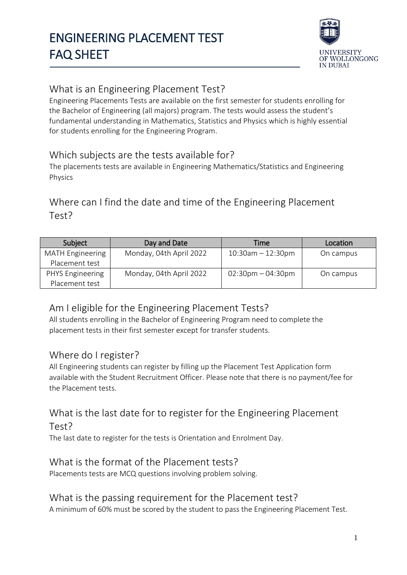

## What is an Engineering Placement Test?

Engineering Placements Tests are available on the first semester for students enrolling for the Bachelor of Engineering (all majors) program. The tests would assess the student's fundamental understanding in Mathematics, Statistics and Physics which is highly essential for students enrolling for the Engineering Program.

### Which subjects are the tests available for?

The placements tests are available in Engineering Mathematics/Statistics and Engineering Physics

### Where can I find the date and time of the Engineering Placement Test?

| Subject                 | Day and Date            | Time                                | Location  |
|-------------------------|-------------------------|-------------------------------------|-----------|
| <b>MATH Engineering</b> | Monday, 04th April 2022 | $10:30$ am $-12:30$ pm              | On campus |
| Placement test          |                         |                                     |           |
| PHYS Engineering        | Monday, 04th April 2022 | $02:30 \text{pm} - 04:30 \text{pm}$ | On campus |
| Placement test          |                         |                                     |           |

### Am I eligible for the Engineering Placement Tests?

All students enrolling in the Bachelor of Engineering Program need to complete the placement tests in their first semester except for transfer students.

### Where do I register?

All Engineering students can register by filling up the Placement Test Application form available with the Student Recruitment Officer. Please note that there is no payment/fee for the Placement tests.

### What is the last date for to register for the Engineering Placement Test?

The last date to register for the tests is Orientation and Enrolment Day.

### What is the format of the Placement tests?

Placements tests are MCQ questions involving problem solving.

### What is the passing requirement for the Placement test?

A minimum of 60% must be scored by the student to pass the Engineering Placement Test.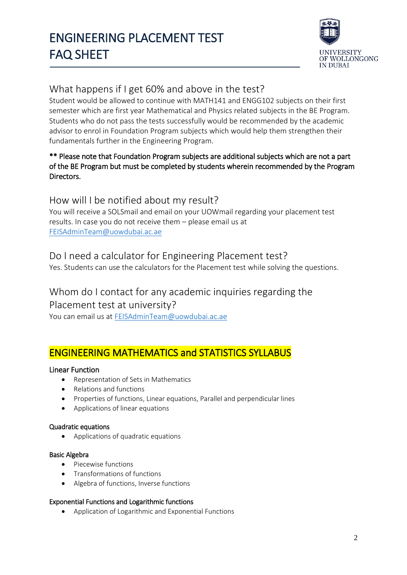

### What happens if I get 60% and above in the test?

Student would be allowed to continue with MATH141 and ENGG102 subjects on their first semester which are first year Mathematical and Physics related subjects in the BE Program. Students who do not pass the tests successfully would be recommended by the academic advisor to enrol in Foundation Program subjects which would help them strengthen their fundamentals further in the Engineering Program.

### \*\* Please note that Foundation Program subjects are additional subjects which are not a part of the BE Program but must be completed by students wherein recommended by the Program Directors.

### How will I be notified about my result?

You will receive a SOLSmail and email on your UOWmail regarding your placement test results. In case you do not receive them – please email us at [FEISAdminTeam@uowdubai.ac.ae](mailto:FEISAdminTeam@uowdubai.ac.ae)

### Do I need a calculator for Engineering Placement test?

Yes. Students can use the calculators for the Placement test while solving the questions.

### Whom do I contact for any academic inquiries regarding the Placement test at university?

You can email us at [FEISAdminTeam@uowdubai.ac.ae](mailto:FEISAdminTeam@uowdubai.ac.ae)

### ENGINEERING MATHEMATICS and STATISTICS SYLLABUS

### Linear Function

- Representation of Sets in Mathematics
- Relations and functions
- Properties of functions, Linear equations, Parallel and perpendicular lines
- Applications of linear equations

#### Quadratic equations

Applications of quadratic equations

#### Basic Algebra

- Piecewise functions
- Transformations of functions
- Algebra of functions, Inverse functions

#### Exponential Functions and Logarithmic functions

Application of Logarithmic and Exponential Functions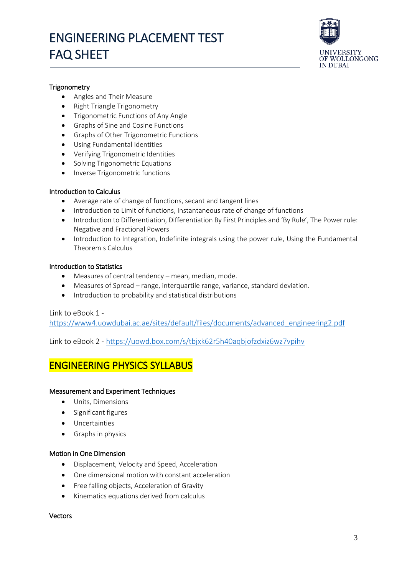

#### **Trigonometry**

- Angles and Their Measure
- Right Triangle Trigonometry
- Trigonometric Functions of Any Angle
- Graphs of Sine and Cosine Functions
- Graphs of Other Trigonometric Functions
- Using Fundamental Identities
- Verifying Trigonometric Identities
- Solving Trigonometric Equations
- Inverse Trigonometric functions

#### Introduction to Calculus

- Average rate of change of functions, secant and tangent lines
- Introduction to Limit of functions, Instantaneous rate of change of functions
- Introduction to Differentiation, Differentiation By First Principles and 'By Rule', The Power rule: Negative and Fractional Powers
- Introduction to Integration, Indefinite integrals using the power rule, Using the Fundamental Theorem s Calculus

#### Introduction to Statistics

- Measures of central tendency mean, median, mode.
- Measures of Spread range, interquartile range, variance, standard deviation.
- Introduction to probability and statistical distributions

#### Link to eBook 1 -

[https://www4.uowdubai.ac.ae/sites/default/files/documents/advanced\\_engineering2.pdf](https://www4.uowdubai.ac.ae/sites/default/files/documents/advanced_engineering2.pdf)

Link to eBook 2 - <https://uowd.box.com/s/tbjxk62r5h40aqbjofzdxiz6wz7vpihv>

### ENGINEERING PHYSICS SYLLABUS

#### Measurement and Experiment Techniques

- Units, Dimensions
- **•** Significant figures
- Uncertainties
- Graphs in physics

#### Motion in One Dimension

- Displacement, Velocity and Speed, Acceleration
- One dimensional motion with constant acceleration
- Free falling objects, Acceleration of Gravity
- Kinematics equations derived from calculus

#### Vectors